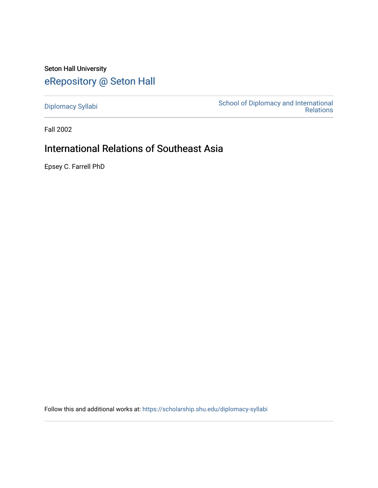Seton Hall University [eRepository @ Seton Hall](https://scholarship.shu.edu/)

[Diplomacy Syllabi](https://scholarship.shu.edu/diplomacy-syllabi) [School of Diplomacy and International](https://scholarship.shu.edu/diplomacy)  [Relations](https://scholarship.shu.edu/diplomacy) 

Fall 2002

# International Relations of Southeast Asia

Epsey C. Farrell PhD

Follow this and additional works at: [https://scholarship.shu.edu/diplomacy-syllabi](https://scholarship.shu.edu/diplomacy-syllabi?utm_source=scholarship.shu.edu%2Fdiplomacy-syllabi%2F622&utm_medium=PDF&utm_campaign=PDFCoverPages)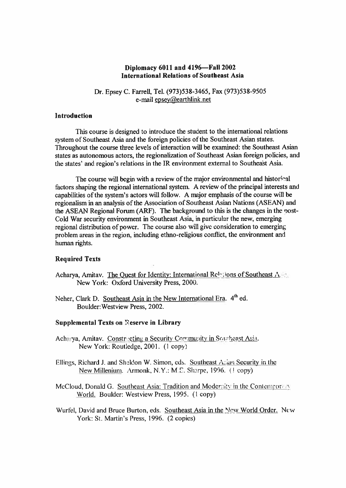# **Diplomacy 6011 and 4196—Fall 2002 International Relations of Southeast Asia**

Dr. Epsey C. Farrell, Tel. (973)538-3465, Fax (973)538-9505<br>e-mail epsev@earthlink.net

#### **Introduction**

This course is designed to introduce the student to the international relations system of Southeast Asia and the foreign policies of the Southeast Asian states. Throughout the course three levels of interaction will be examined: the Southeast Asian states as autonomous actors, the regionalization of Southeast Asian foreign policies, and the states' and region's relations in the IR environment external to Southeast Asia.

The course will begin with <sup>a</sup> review of the major environmental and historical factors shaping the regional international system. A review of the principal interests and capabilities of the system's actors will follow. <sup>A</sup> major emphasis of the course will be regionalism in an analysis of the Association of Southeast Asian Nations (ASEAN) and the ASEAN Regional Forum (ARF). The background to this is the changes in the post-Cold War security environment in Southeast Asia, in particular the new, emerging regional distribution of power. The course also will give consideration to emerging problem areas in the region, including ethno-religious conflict, the environment and human rights.

# **Required Texts**

- Acharya, Amitav. The Quest for Identity: International Relations of Southeast A. New York: Oxford University Press, 2000.
- Neher, Clark D. Southeast Asia in the New International Era. 4<sup>th</sup> ed. Boulder:Westview Press, 2002.

#### **Supplemental Texts on Reserve in Library**

- Acharya, Amitav. Constructing a Security Community in Southeast Asia. New York: Routledge, 2001. (1 copy)
- Ellings, Richard J. and Sheldon W. Simon, cds. Southeast Asian Security in the New Millenium. Armonk, N.Y.: M E. Sharpe, 1996. ( ! copy)
- McCloud, Donald G. Southeast Asia: Tradition and Modernity in the Contempor AV World. Boulder: Westview Press, 1995. (1 copy)
- Wurfel, David and Bruce Burton, eds. Southeast Asia in the New World Order. New York: St. Martin's Press, 1996. (2 copies)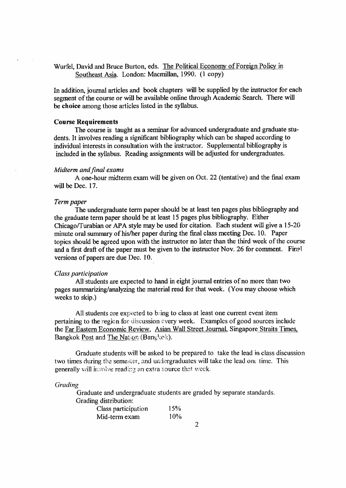# Wurfel, David and Bruce Burton, eds. The Political Economy of Foreign Policy in Southeast Asia. London: Macmillan, 1990. (1 copy)

In addition, journal articles and book chapters will be supplied by the instructor for each segmen<sup>t</sup> of the course or will be available online through Academic Search. There will be **choice** among those articles listed in the syllabus.

#### **Course Requirements**

The course is taught as <sup>a</sup> seminar for advanced undergraduate and graduate students. It involves reading <sup>a</sup> significant bibliography which can be shaped according to individual interests in consultation with the instructor. Supplemental bibliography is included in the syllabus. Reading assignments will be adjusted for undergraduates.

#### *Midterm and final exams*

A one-hour midterm exam will be given on Oct. 22 (tentative) and the final exam will be Dec. 17.

#### *Term paper*

The undergraduate term paper should be at least ten pages <sup>p</sup>lus bibliography and the graduate term paper should be at least 15 pages <sup>p</sup>lus bibliography. Either Chicago/Turabian or APA style may be used for citation. Each student will <sup>g</sup>ive <sup>a</sup> 15-20 minute oral summary of his/her paper during the final class meeting Dec. 10. Paper topics should be agreed upon with the instructor no later than the third week of the course and a first draft of the paper must be given to the instructor Nov. 26 for comment. Final versions of papers are due Dec. 10.

#### *Class participation*

All students are expected to hand in eight journal entries of no more than two pages summarizing/analyzing the material read for that week. (You may choose which weeks to skip.)

All students are expected to bring to class at least one current event item pertaining to the region for discussion every week. Examples of goo<sup>d</sup> sources include the Far Eastern Economic Review. Asian Wall Street Journal. Singapore Straits Times, Bangkok Post and The Nation (Bangkok).

Graduate students will be asked to be prepared to take the lead in class discussion two times during the semester, and undergraduates will take the lead one time. This generally will involve reading an extra source that week.

#### *Grading*

Graduate and undergraduate students are graded by separate standards. Grading distribution:

| m                   |     |
|---------------------|-----|
| Class participation | 15% |
| Mid-term exam       | 10% |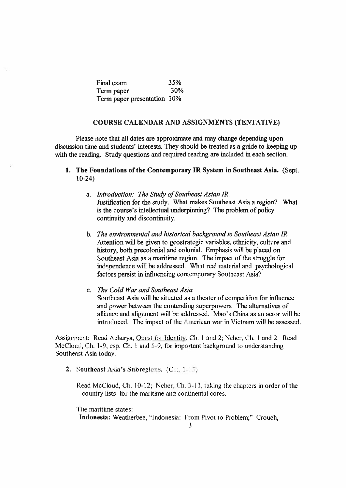| Final exam                  | 35% |
|-----------------------------|-----|
| Term paper                  | 30% |
| Term paper presentation 10% |     |

#### **COURSE CALENDAR AND ASSIGNMENTS (TENTATIVE)**

Please note that all dates are approximate and may change depending upon discussion time and students' interests. They should be treated as <sup>a</sup> guide to keeping up with the reading. Study questions and required reading are included in each section.

# **1. The Foundations of the Contemporary IR System in Southeast Asia.** (Sept. 10-24)

- a. *Introduction: The Study of Southeast Asian IR.* Justification for the study. What makes Southeast Asia <sup>a</sup> region? What is the course's intellectual underpinning? The problem of policy continuity and discontinuity.
- b. *The environmental and historical background to Southeast Asian IR.* Attention will be given to geostrategic variables, ethnicity, culture and history, both precolonial and colonial. Emphasis will be placed on Southeast Asia as <sup>a</sup> maritime region. The impact of the struggle for independence will be addressed. What real material and psychological factors persist in influencing contemporary Southeast Asia?

# c. *The Cold War and Southeast Asia.*

Southeast Asia will be situated as <sup>a</sup> theater of competition for influence and power between the contending superpowers. The alternatives of alliance and alignment will be addressed. Mao's China as an actor will be introduced. The impact of the American war in Vietnam will be assessed.

Assignment: Read Acharya, Quest for Identity, Ch. 1 and 2; Neher, Ch. 1 and 2. Read McCloud, Ch. 1-9, esp. Ch. 1 and  $5-9$ , for important background to understanding Southeast Asia today.

2. Southeast Asia's Subregions.  $(O_0, 1, 1)$ 

Read McCloud, Ch. 10-12; Neher, Ch. 3- 13. taking the chapters in order of the country lists for the maritime and continental cores.

The maritime states:

Indonesia: Weatherbee, "Indonesia: From Pivot to Problem;" Crouch,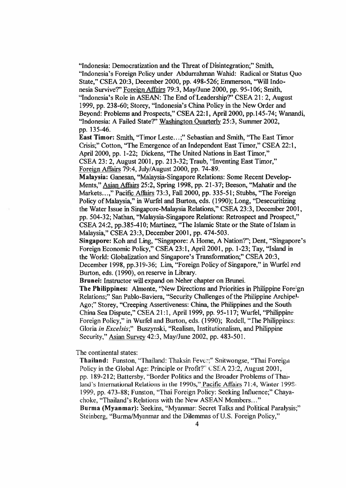"Indonesia: Democratization and the Threat of Disintegration;" Smith, "Indonesia's Foreign Policy under Abdurrahman Wahid: Radical or Status Quo State," CSEA 20:3, December 2000, pp. 498-526; Emmerson, "Will Indonesia Survive?" Foreign Affairs 79:3, May/June 2000, pp. 95-106; Smith, "Indonesia's Role in ASEAN: The End of Leadership?" CSEA 21: 2, August 1999, pp. 238-60; Storey, "Indonesia's China Policy in the New Order and Beyond: Problems and Prospects," CSEA 22:1, April 2000, pp.145-74; Wanandi, "Indonesia: A Failed State?" Washington Quarterly 25:3, Summer 2002, pp. 135-46.

East **Timor:** Smith, "Timor Leste...;" Sebastian and Smith, "The East Timor Crisis;" Cotton, "The Emergence of an Independent East Timor," CSEA 22:1, April 2000, pp. 1-22; Dickens, "The United Nations in East Timor," CSEA 23: 2, August 2001, pp. 213-32; Traub, "Inventing East Timor," Foreign Affairs 79:4, July/August 2000, pp. 74-89.

Malaysia: Ganesan, "Malaysia-Singapore Relations: Some Recent Develop-Ments," Asian Affairs 25:2, Spring 1998, pp. 21-37; Beeson, "Mahatir and the Markets...," Pacific Affairs 73:3, Fall 2000, pp. 335-51; Stubbs, "The Foreign Policy of Malaysia," in Wurfel and Burton, eds. (1990); Long, "Desecuritizing the Water Issue in Singapore-Malaysia Relations," CSEA 23:3, December 2001, pp. 504-32; Nathan, "Malaysia-Singapore Relations: Retrospect and Prospect," CSEA 24:2, pp.385-410; Martinez, "The Islamic State or the State of Islam in Malaysia," CSEA 23:3, December 2001, pp. 474-503.

**Singapore:** Koh and Ling, "Singapore: A Home, A Nation?'; Dent, "Singapore's Foreign Economic Policy," CSEA 23:1, April 2001, pp. 1-23; Tay, "Island in the World: Globalization and Singapore's Transformation;" CSEA 20:3, December 1998, pp.319-36; Lim, "Foreign Policy of Singapore," in Wurfel and Burton, eds. (1990), on reserve in Library.

Brunei: Instructor will expand on Neher chapter on Brunei.

**The Philippines:** Almonte, "New Directions and Priorities in Philippine Fore:gn Relations;" San Pablo-Baviera, "Security Challenges of the Philippine Archipe1- Ago;" Storey, "Creeping Assertiveness: China, the Philippines and the South China Sea Dispute," CSEA 21:1, April 1999, pp. 95-117; Wurfel, "Philippine Foreign Policy," in Wurfel and Burton, eds. (1990); Rodcll, "The Philippines: Gloria *in Excelsis*;" Buszynski, "Realism, Institutionalism, and Philippine Security," Asian Survey 42:3, May/June 2002, pp. 483-501.

The continental states:

Thailand: Funston, "Thailand: Thaksin Fever;" Snitwongse, "Thai Foreign Policy in the Global Age: Principle or Profit?" CSEA 23:2, August 2001, pp. 189-212; Battersby, "Border Politics and the Broader Problems of Thailand's International Relations in the 1990s," Pacific Affairs 71:4, Winter 1998- 1999, pp. 473-88; Funston, "Thai Foreign Policy: Seeking Influence;" Chayachoke, "Thailand's Relations with the New ASEAN Members..." Burma (Myanmar): ' Seekins, "Myanmar: Secret Talks and Political Paralysis;" Steinberg, "Burma/Myanmar and the Dilemmas of U.S. Foreign Policy,"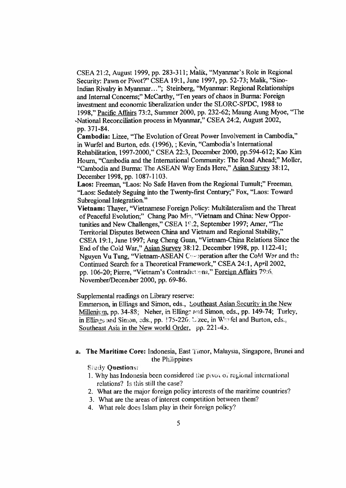CSEA <sup>21</sup>:2, August <sup>1999</sup>, pp. 283-311; Malik, "Myanmar'<sup>s</sup> Role in Regional Security: Pawn or Pivot?" CSEA 19:1, June 1997, pp. 52-73; Malik, "Sino-Indian Rivalry in Myanmar..."; Steinberg, "Myanmar: Regional Relationships and Internal Concerns;" McCarthy, "Ten years of chaos in Burma: Foreign investment and economic liberalization under the SLORC-SPDC, 1988 to 1998," Pacific Affairs 73:2, Summer 2000, pp. 232-62; Maung Aung Myoe, "The ^National Reconciliation process in Myanmar," CSEA <sup>24</sup>:2, August 2002, pp. 371-84.

Cambodia:Lizee, "The Evolution of Great Power Involvement in Cambodia," in Wurfel and Burton, eds. (1996), ; Kevin, "Cambodia'<sup>s</sup> International Rehabilitation, 1997-2000," CSEA 22:3, December 2000, pp.594-612; Kao Kim Houm, "Cambodia and the International Community: The Road Ahead;" Moller, "Cambodia and Burma: The ASEAN Way Ends Here," Asian Survey 38:12, December 1998, pp. 1087-1103.

Laos: Freeman, "Laos: No Safe Haven from the Regional Tumult;" Freeman. "Laos: Sedately Seguing into the Twenty-first Century;" Fox, "Laos: Toward Subregional Integration."

Vietnam:Thayer, "Vietnamese Foreign Policy: Multilateralism and the Threat of Peaceful Evolution;" Chang Pao Min, "Vietnam and China: New Opportunities and New Challenges," CSEA 19:2, September 1997; Amer, "The Territorial Disputes Between China and Vietnam and Regional Stability," CSEA 19:1, June 1997; Ang Cheng Guan, "Vietnam-China Relations Since the End of the Cold War," Asian Survey 38:12, December 1998, pp. 1122-41; Nguyen Vu Tung, "Vietnam-ASEAN Correction after the Cold War and the Continued Search for <sup>a</sup> Theoretical Framework," CSEA 24:1, Ap^il 2002, pp. 106-20; Pierre, "Vietnam's Contradict ons," Foreign Affairs 79:6, November/Deceniber 2000, pp. 69-86.

Supplemental readings on Library reserve:

Emmerson, in Ellings and Simon, eds., Southeast Asian Security in the New Millenium, pp. 34-88; Neher, in Ellingr and Simon, eds., pp. 149-74; Turley, in Ellings and Simon, eds., pp.  $175-226$ . Lizee, in W  $\cdot$  fel and Burton, eds., Southeast Asia in the New world Order, pp. 221-45.

# <sup>a</sup>. The Maritime Core: Indonesia, East Timor, Malaysia, Singapore, Brunei and the Philippines

**Study Questions:** 

- <sup>1</sup>. Why has Indonesia been considered the <sup>p</sup>ivoi of regional international relations? Is this still the case?
- 2. What are the major foreign policy interests of the maritime countries?
- 3. What are the areas of interest competition between them?
- 4. What role does Islam play in their foreign policy?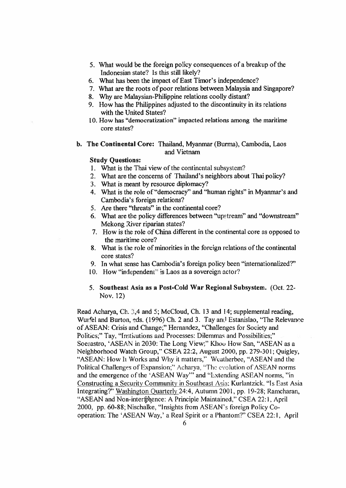- 5. What would be the foreign policy consequences of <sup>a</sup> breakup of the Indonesian state? Is this still likely?
- 6. What has been the impact of East Timor's independence?
- 7. What are the roots of poor relations between Malaysia and Singapore?
- 8. Why are Malaysian-Philippine relations coolly distant?
- 9. How has the Philippines adjusted to the discontinuity in its relations with the United States?
- 10. How has "democratization" impacted relations among the maritime core states?
- **b. The Continental Core:** Thailand, Myanmar (Burma), Cambodia, Laos and Vietnam

# **Study Questions:**

- 1. What is the Thai view of the continental subsystem?
- 2. What are the concerns of Thailand's neighbors about Thai policy?
- 3. What is meant by resource diplomacy?
- 4. What is the role of "democracy" and "human rights" in Myanmar's and Cambodia's foreign relations?
- 5. Are there "threats" in the continental core?
- 6. What are the policy differences between "upstream" and "downstream" Mekong River riparian states?
- 7. How is the role of China different in the continental core as opposed to the maritime core?
- 8. What is the role of minorities in the foreign relations of the continental core states?
- 9. In what sense has Cambodia's foreign policy been "internationalized?"
- 10. How "independent" is Laos as <sup>a</sup> sovereign actor?
- **5. Southeast Asia as <sup>a</sup> Post-Cold War Regional Subsystem. (Oct. 22-** Nov. **12)**

Read Acharya, Ch. 3,4 and 5; McCloud, Ch. 13 and 14; supplemental reading, Wurfel and Burton, eds. (1996) Ch. 2 and 3. Tay and Estanislao, "The Relevance of ASEAN: Crisis and Change;" Hernandez, "Challenges for Society and Politics;" Tay, "Institutions and Processes: Dilemmas and Possibilities;" Soesastro, 'ASEAN in 2030: The Long View;" Khoo How San, "ASEAN as a Neighborhood Watch Group," CSEA 22:2, August 2000, pp. 279-301; Quigley, "ASEAN: How Ii Works and Why it matters," Weatherbee, "ASEAN and the Political Challenges of Expansion;" Acharya, "The evolution of ASEAN norms and the emergence of the 'ASEAN Way'" and "Extending ASEAN norms, "in Constructing <sup>a</sup> Security Community in Southeast Asia: Kurlantzick, "Is East Asia Integrating?" Washington Quarterly 24:4. Autumn 2001, pp. 19-28; Ramcharan, "ASEAN and Non-interfreemce: A Principle Maintained," CSEA 22:1, April 2000, pp. 60-88; Nischalke, "Insights from ASEAN's foreign Policy Cooperation: The 'ASEAN Way,' <sup>a</sup> Real Spirit or <sup>a</sup> Phantom?" CSEA 22:1 , April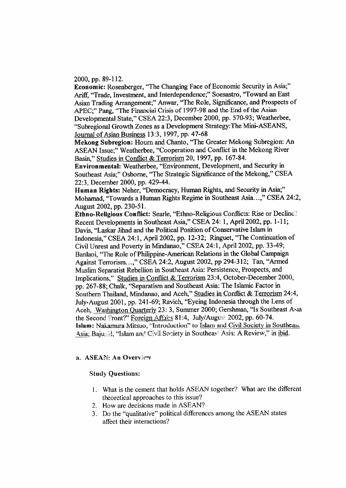2000, pp. 89-112.

Economic: Rosenberger, "The Changing Face of Economic Security in Asia;" Ariff, "Trade, Investment, and Interdependence;" Soesastro, "Toward an East Asian Trading Arrangement;" Anwar, "The Role, Significance, and Prospects of APEC;" Pang, "The Financial Crisis of <sup>1997</sup>-98 and the End of the Asian Developmental State," CSEA <sup>22</sup>:3, December <sup>2000</sup>, pp. <sup>570</sup>-93; Weatherbee, "Subregional Growth Zones as <sup>a</sup> Development Strategy:The Mini-ASEANS, Journal of Asian Business 13:3, 1997, pp. 47-68

Mekong Subregion: Houm and Chanto, "The Greater Mekong Subregion: An ASEAN Issue;" Weatherbee, "Cooperation and Conflict in the Mekong River Basin," Studies in Conflict & Terrorism 20, 1997, pp. 167-84.

Environmental: Weatherbee, "Environment, Development, and Security in Southeast Asia;" Osborne, "The Strategic Significance of the Mekong," CSEA 22:3, December 2000, pp. 429-44.

Human Rights: Neher, "Democracy, Human Rights, and Security in Asia;" Mohamad, "Towards a Human Rights Regime in Southeast Asia...," CSEA 24:2, August 2002, pp. 230-51.

Ethno-Religious Conflict: Searle, "Ethno-Religious Conflicts: Rise or Decline" Recent Developments in Southeast Asia," CSEA 24: <sup>1</sup>, April 2002, pp. <sup>1</sup>-11; Davis, "Laskar Jihad and the Political Position of Conservative Islam in Indonesia," CSEA 24:1, April 2002, pp. 12-32; Ringuet, "The Continuation of Civil Unrest and Poverty in Mindanao," CSEA 24:1, April 2002, pp. <sup>33</sup>-49; Banlaoi, "The Role of Philippine-American Relations in the Global Campaign Against Terrorism...," CSEA 24:2, August 2002, pp 294-312; Tan, "Armed Muslim Separatist Rebellion in Southeast Asia: Persistence, Prospects, and Implications," Studies in Conflict & Terrorism 23:4, October-December <sup>2000</sup>, pp. <sup>267</sup>-88; Chalk, "Separatism and Southeast Asia: The Islamic Factor in Southern Thailand, Mindanao, and Aceh," Studies in Conflict & Terrorism <sup>24</sup>:4, July-August 2001, pp. 241-69; Ravich, "Eyeing Indonesia through the Lens of Aceh, Washington Quarterly <sup>23</sup>: 3, Summer 2000; Gershman, "Is Southeast Asia the Second Front?" Foreign Affairs 81:4, July/Augus: 2002, pp. 60-74. Islam: Nakamura Mitsuo, "Introduction" to Islam and Civil Society in Southeast Asia; Bajunid, "Islam and Civil Society in Southeas: Asia: A Review," in ibid.

# <sup>a</sup>. ASEAN: An Overview

#### Study Questions:

- <sup>1</sup>. What is the cement that holds ASEAN together? What are the different theoretical approaches to this issue?
- 2. How are decisions made in ASEAN?
- 3. Do the "qualitative" political differences among the ASEAN states affect their interactions?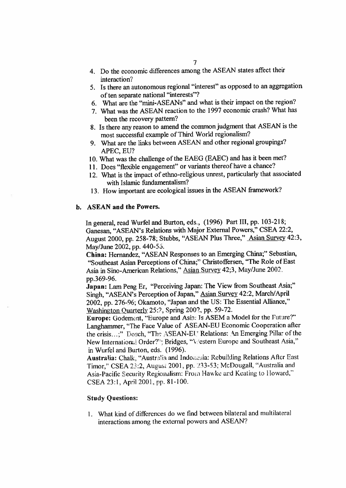- <sup>4</sup>. Do the economic differences among the ASEAN states affect their interaction?
- 5. Is there an autonomous regional "interest" as oppose<sup>d</sup> to an aggregation of ten separate national "interests"?
- 6. What are the "mini-ASEANs" and what is their impact on the region?
- 7. What was the ASEAN reaction to the 1997 economic crash? What has been the recovery pattern?
- <sup>8</sup>. Is there any reason to amend the common judgment that ASEAN is the most successful example of Third World regionalism?
- 9. What are the links between ASEAN and other regional groupings? APEC, EU?
- <sup>10</sup>. What was the challenge of the EAEG (EAEC) and has it been met?
- <sup>11</sup>. Does "flexible engagement" or variants thereof have <sup>a</sup> chance?
- <sup>12</sup>. What is the impact of ethno-religious unrest, particularly that associated with Islamic fundamentalism?
- <sup>13</sup>. How important are ecological issues in the ASEAN framework?

# **b. ASEAN and the Powers.**

In general, read Wurfel and Burton, eds., (1996) Part III, pp. <sup>103</sup>-218; Ganesan, "ASEAN'<sup>s</sup> Relations with Major External Powers," CSEA 22:2, August 2000, pp. 258-78; Stubbs, "ASEAN Plus Three," Asian Survey 42:3, May/June 2002, pp. 440-56.

**China:** Hernandez, "ASEAN Responses to an Emerging China;" Sebastian, "Southeast Asian Perceptions of China;" Christoffersen, "The Role of East Asia in Sino-American Relations," Asian Survey 42;3, May/June 2002. pp.369-96.

**Japan:** Lam Peng Er, "Perceiving Japan: The View from Southeast Asia;" Singh, "ASEAN'<sup>s</sup> Perception of Japan," Asian Survey <sup>42</sup>:2, March/April 2002, pp. 276-96; Okamoto, "Japan and the US: The Essential Alliance," Washington Ouarterly 25:2, Spring 2002, pp. 59-72.

**Europe:** Godement, "Europe and Asia: Is ASEM <sup>a</sup> Model for the Future?" Langhammer, "The Face Value of ASEAN-EU Economic Cooperation after the crisis...;" Dosch, "The ASEAN-EU" Relations: An Emerging Pillar of the New International Order?"; Bridges, "Vestern Europe and Southeast Asia," in Wurfel and Burton, eds. (1996).

Australia: Chalk, "Australia and Indonesia: Rebuilding Relations After East Timor,''CSEA 23:2, August 2001, pp. 233-53; McDougall, "Australia and Asia-Pacific Security Regionalism: From Hawke and Keating to Howard," CSEA 23:1, April 2001, pp. <sup>81</sup>-100.

#### **Study Questions:**

1. What kind of differences do we find between bilateral and multilateral interactions among the external powers and ASEAN?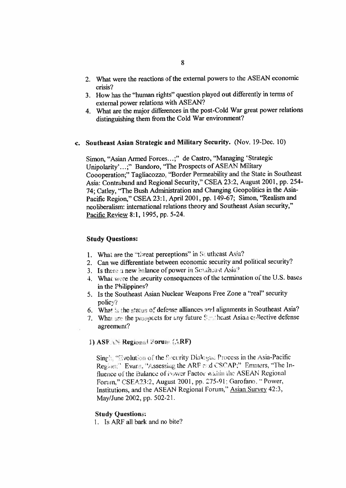- 2. What were the reactions of the external powers to the ASEAN economic crisis?
- <sup>3</sup>. How has the "human rights" question <sup>p</sup>layed out differently in terms of external power relations with ASEAN?
- <sup>4</sup>. What are the major differences in the post-Cold War grea<sup>t</sup> power relations distinguishing them from the Cold War environment?

# c. Southeast Asian Strategic and Military Security. (Nov. 19-Dec. 10)

Simon, "Asian Armed Forces...;" de Castro, "Managing 'Strategic Unipolarity'...;" Bandoro, "The Prospects of ASEAN Military Coooperation;" Tagliacozzo, "Border Permeability and the State in Southeast Asia: Contraband and Regional Security," CSEA <sup>23</sup>:2, August <sup>2001</sup>, pp. <sup>254</sup>- <sup>74</sup>; Catley, "The Bush Administration and Changing Geopolitics in the Asia-Pacific Region," CSEA 23:1, April 2001, pp. 149-67; Simon, "Realism and neoliberalism: international relations theory and Southeast Asian security," Pacific Review 8:1, 1995, pp. 5-24.

# Study Questions:

- 1. What are the "threat perceptions" in Southeast Asia?
- 2. Can we differentiate between economic security and political security?
- 3. Is there a new Malance of power in Southeast Asia?
- 4. What verte the security consequences of the termination of the U.S. bases in the Philippines?
- 5. Is the Southeast Asian Nuclear Weapons Free Zone <sup>a</sup> "real" security policy?
- 6. What is the status of defense alliances and alignments in Southeast Asia?
- 7. What we the prospects for any future Schicheast Asian collective defense agreement?

# I) ASF AN Regional Forum (ARF)

Sing', "Evolution of the Security Dialogue Process in the Asia-Pacific Region:" Evans, "Assessing the ARF and CSCAP;" Emmers, "The Influence of the Balance of Power Factor within the ASEAN Regional Forum," CSEA23:2, August 2001, pp. 275-91;Garofano. " Power, Institutions, and the ASEAN Regional Forum," Asian Survey 42:3, May/June 2002, pp. 502-21.

# Study Questions:

1. Is ARF all bark and no bite?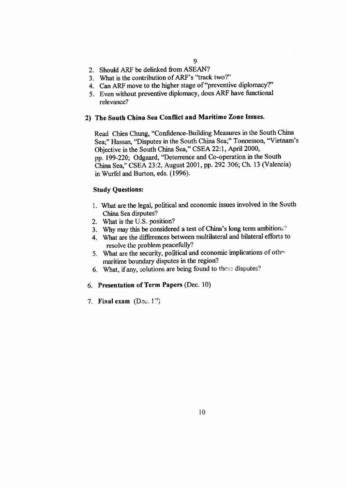- 2. Should ARF be delinked from ASEAN?
- 3. What is the contribution of ARF'<sup>s</sup> "track two?"
- <sup>4</sup>. Can ARF move to the higher stage of "preventive diplomacy?'
- <sup>5</sup>. Even without preventive diplomacy, does ARF have functional relevance?

# **<sup>2</sup>) The South China Sea Conflict and Maritime Zone Issues.**

Read Chien Chung, "Confidence-Building Measures in the South China Sea;" Hassan, "Disputes in the South China Sea;" Tonnesson, "Vietnam'<sup>s</sup> Objective in the South China Sea," CSEA <sup>22</sup>:1, April 2000, pp. <sup>199</sup>-220; Odgaard, "Deterrence and Co-operation in the South China Sea," CSEA 23:2, August <sup>2001</sup>, pp. 292 <sup>306</sup>; Ch. <sup>13</sup> (Valencia) in Wurfel and Burton, eds. (1996).

# **Study Questions:**

- <sup>1</sup>. What are the legal, political and economic issues involved in the South China Sea disputes?
- 2. What is the U.S. position?
- 3. Why may this be considered a test of China's long term ambitions.<sup>9</sup>
- 4. What are the differences between multilateral and bilateral efforts to resolve the problem peacefully?
- <sup>5</sup>. What are the security, political and economic implications of othc maritime boundary disputes in the region?
- <sup>6</sup>. What, if any, solutions are being found to these disputes?

# 6. **Presentation of Term Papers** (Dec. 10)

7. Final exam (Dec. 17)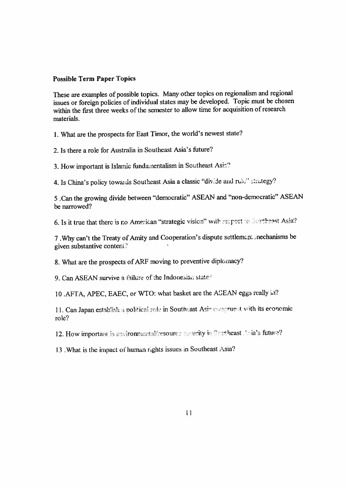# **Possible Term Paper Topics**

These are examples of possible topics. Many other topics on regionalism and regional issues or foreign policies of individual states may be developed. Topic must be chosen within the first three weeks of the semester to allow time for acquisition of research materials.

<sup>1</sup>. What are the prospects for East Timor, the world'<sup>s</sup> newest state?

2. Is there a role for Australia in Southeast Asia's future?

<sup>3</sup>. How important is Islamic fundamentalism in Southeast Asia?

<sup>4</sup>. Is China'<sup>s</sup> policy towards Southeast Asia <sup>a</sup> classic "divide and rule" strategy?

<sup>5</sup> .Can the growing divide between "democratic" ASEAN and "non-democratic" ASEAN be narrowed?

6. Is it true that there is no American "strategic vision" with respect to Southeast Asia?

<sup>7</sup> .Why can'<sup>t</sup> the Treaty of Amity and Cooperation'<sup>s</sup> dispute settlement mechanisms be <sup>g</sup>iven substantive content?

<sup>8</sup>. What are the prospects of ARF moving to preventive diplomacy?

9. Can ASEAN survive <sup>a</sup> failure of the Indonesian state

10 .AFTA, APEC, EAEC, or WTO: what basket are the ACEAN eggs really in?

11. Can Japan establish a political role in Southeast Asin congruent with its economic role?

12. How important is environmental/resource security in Southeast Asia's future?

13 .What is the impact of human rights issues in Southeast Asia?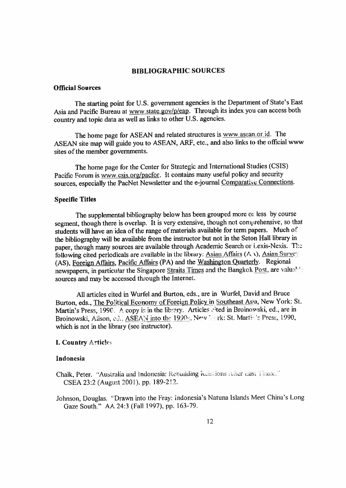#### **BIBLIOGRAPHIC SOURCES**

# **Official Sources**

The starting point for <sup>U</sup>.S. governmen<sup>t</sup> agencies is the Department of State'<sup>s</sup> East Asia and Pacific Bureau at www.state.gov/p/eap. Through its index you can access both country and topic data as well as links to other U.S. agencies.

The home page for ASEAN and related structures is www.asean.or id. The ASEAN site map will guide you to ASEAN, ARF, etc., and also links to the official www sites of the member governments.

The home page for the Center for Strategic and International Studies (CSIS) Pacific Forum is www.csis.org/pacfor. It contains many useful policy and security sources, especially the PacNet Newsletter and the <sup>e</sup>-joumal Comparative Connections.

#### **Specific Titles**

The supplemental bibliography below has been groupe<sup>d</sup> more or less by course segment, though there is overlap. It is very extensive, though not comprehensive, so that students will have an idea of the range of materials available for term papers. Much of the bibliography will be available from the instructor but not in the Seton Hall library in paper, though many sources are available through Academic Search or Lexis-Nexis. The following cited periodicals are available in the library: Asian Affairs  $(A, \lambda)$ , Asian Survey. (AS), Foreign Affairs, Pacific Affairs (PA) and the Washington Quarterly. Regional newspapers, in particular the Singapore Straits Times and the Bangkok Post, are valuable sources and may be accessed through the Internet.

All articles cited in Wurfel and Burton, eds., are in Wurfel, David and Bruce Burton, eds., The Political Economy of Foreign Policy in Southeast Asia, New York: St. Martin's Press, 1990. A copy is in the library. Articles sited in Broinowski, ed., are in Broinowski, Alison, ed., ASEAN into the 1990s, New York: St. Martin's Press, 1990, which is not in the library (see instructor).

#### **I. Country** Articles

# **Indonesia**

- Chalk, Peter. "Australia and Indonesia: Rebuilding **Reunions** Aiior **uasi** *<sup>&</sup>gt;* **imoi."** CSEA 23:2 (August 2001). pp. 189-212.
- Johnson, Douglas. "Drawn into the Fray: Indonesia's Natuna Islands Meet China's Long Gaze South." AA 24:3 (Fall 1997), pp. 163-79.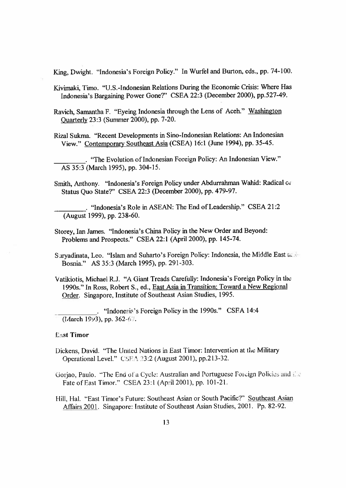King, Dwight. "Indonesia'<sup>s</sup> Foreign Policy." In Wurfel and Burton, eds., pp. <sup>74</sup>-100.

Kivimaki, Timo. "U.S.-Indonesian Relations During the Economic Crisis: Where Has Indonesia'<sup>s</sup> Bargaining Power Gone?" CSEA <sup>22</sup>:3 (December <sup>2000</sup>), pp.527-49.

Ravich, Samantha <sup>F</sup>. "Eyeing Indonesia through the Lens of Aceh." Washington Quarterly 23:3 (Summer 2000), pp. 7-20.

Rizal Sukma. "Recent Developments in Sino-Indonesian Relations:An Indonesian View." Contemporary Southeast Asia (CSEA) <sup>16</sup>:<sup>1</sup> (June 1994), pp. <sup>35</sup>-45.

. "The Evolution of Indonesian Foreign Policy: An Indonesian View." AS 35:3 (March 1995), pp. 304-15.

Smith, Anthony. "Indonesia'<sup>s</sup> Foreign Policy under Abdurrahman Wahid: Radical Oi Status Quo State?" CSEA 22:3 (December 2000), pp. 479-97.

. "Indonesia's Role in ASEAN: The End of Leadership." CSEA 21:2 (August 1999), pp. 238-60.

Storey, Ian James. "Indonesia's China Policy in the New Order and Beyond: Problems and Prospects." CSEA 22:1 (April 2000), pp. 145-74.

Survadinata, Leo. "Islam and Suharto's Foreign Policy: Indonesia, the Middle East a. Bosnia." AS 35:3 (March 1995), pp. 291-303.

Vatikiotis, Michael R.J. "<sup>A</sup> Giant Treads Carefully: Indonesia'<sup>s</sup> Foreign Policy in the 1990s." In Ross, Robert S., ed., East Asia in Transition; Toward a New Regional Order. Singapore, Institute of Southeast Asian Studies, 1995.

. "Indonesia's Foreign Policy in the 1990s." CSFA 14:4  $(March 1993)$ , pp. 362-67.

#### **Last Timor**

- Dickens, David. "The United Nations in East Timor: Intervention at the Military Operational Level." CSE \ 23:2 (August 2001), pp.213-32.
- Gorjao, Paulo. "The End of a Cycle: Australian and Portuguese Foreign Policies and the Fate of East Timor." CSEA 23:1 (April 2001), pp. 101-21.

Hill, Hal. "East Timor's Future: Southeast Asian or South Pacific?" Southeast Asian Affairs <sup>2001</sup>. Singapore: Institute of Southeast Asian Studies, <sup>2001</sup>. Pp. 82-92.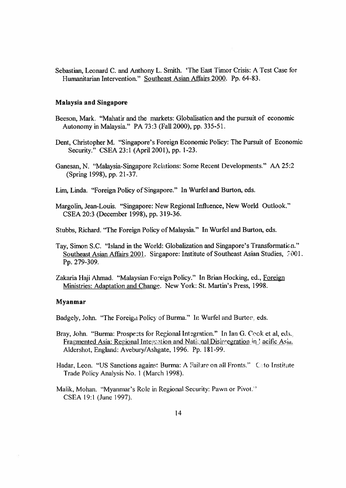Sebastian, Leonard C. and Anthony L. Smith. 'The East Timor Crisis: A Test Case for Humanitarian Intervention." Southeast Asian Affairs 2000. Pp. 64-83.

#### Malaysia and Singapore

- Beeson, Mark. "Mahatir and the markets: Globalisation and the pursuit of economic Autonomy in Malaysia." PA 73:3 (Fall 2000), pp. 335-51.
- Dent, Christopher M. "Singapore's Foreign Economic Policy: The Pursuit of Economic Security." CSEA 23:1 (April 2001), pp. 1-23.
- Ganesan, N. "Malaysia-Singapore Relations: Some Recent Developments." AA 25:2 (Spring 1998), pp. 21-37.
- Lim, Linda. "Foreign Policy of Singapore." In Wurfel and Burton, eds.
- Margolin, Jean-Louis. "Singapore: New Regional Influence, New World Outlook." CSEA 20:3 (December 1998), pp. 319-36.
- Stubbs, Richard.'The Foreign Policy of Malaysia." In Wurfel and Burton, eds.
- Tay, Simon S.C. "Island in the World: Globalization and Singapore's Transformation." Southeast Asian Affairs 2001. Singapore: Institute of Southeast Asian Studies, .7001. Pp. 279-309.
- Zakaria Haji Ahmad. "Malaysian Foreign Policy." In Brian Hocking, ed., Foreign Ministries: Adaptation and Change. New York: St. Martin's Press, 1998.

# Myanmar

Badgely, John. "The Foreign Policy of Burma." In Wurfel and Burton, eds.

- Bray, John. "Burma: Prospects for Regional Integration." In Ian G. Cook et al, eds.. Fragmented Asia: Regional Integration and National Disintegration in I acific Asia. Aldershot, England: Avebury/Ashgate, 1996. Pp. 181-99.
- Hadar, Leon. "US Sanctions against Burma: A Failure on all Fronts." Cato Institute Trade Policy Analysis No. 1 (March 1998).
- Malik, Mohan. "Myanmar's Role in Regional Security: Pawn or Pivot." CSEA 19:1 (June 1997).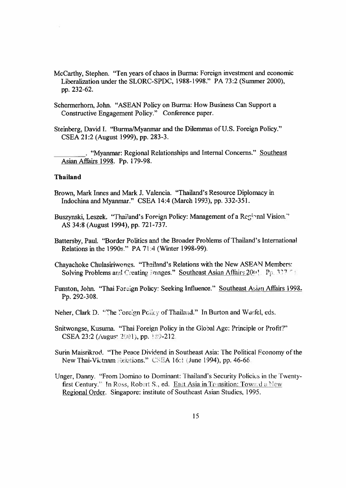- McCarthy, Stephen. "Ten years of chaos in Burma: Foreign investment and economic Liberalization under the SLORC-SPDC, 1988-1998." PA 73:2 (Summer 2000), pp. 232-62.
- Schermerhom, John. "ASEAN Policy on Burma: How Business Can Support <sup>a</sup> Constructive Engagement Policy." Conference paper.
- Steinberg, David <sup>I</sup>. "Burma/Myanmar and the Dilemmas of U.S. Foreign Policy." CSEA 21:2 (August 1999), pp. 283-3.

. "Myanmar: Regional Relationships and Internal Concerns." Southeast Asian Affairs 1998. Pp. 179-98.

# **Thailand**

Brown, Mark Innes and Mark J. Valencia. "Thailand'<sup>s</sup> Resource Diplomacy in Indochina and Myanmar." CSEA 14:4 (March 1993), pp. 332-351.

Buszynski, Leszek. "Thailand's Foreign Policy: Management of a Regional Vision." AS 34:8 (August 1994), pp. 721-737.

Battersby, Paul. "Border Politics and the Broader Problems of Thailand'<sup>s</sup> International Relations in the 1990<sup>s</sup>." PA 71:4 (Winter 1998-99).

Chayachoke Chulasiriwones. "Thailand'<sup>s</sup> Relations with the New ASEAN Members: Solving Problems and Creating Images." Southeast Asian Affairs  $200!$  Pp. 337.

Funston, John. "Thai Foreign Policy: Seeking Influence." Southeast Asian Affairs 1998. Pp. 292-308.

- Neher, Clark D. "The Foreign Polity of Thailand." In Burton and Wurfel, eds.
- Snitwongse, Kusuma. "Thai Foreign Policy in the Global Age: Principle or Profit?" CSEA 23:2 (August 2001), pp. 189-212.

Surin Maisrikrod. "The Peace Dividend in Southeast Asia: The Political Economy of the New Thai-Victnam delations." CSEA 16:1 (June 1994), pp. 46-66.

Unger, Danny. "From Domino to Dominant: Thailand's Security Policies in the Twentyfirst Century." In Ross, Robert S., ed. East Asia in Transition: Toward a New Regional Order. Singapore: institute of Southeast Asian Studies, 1995.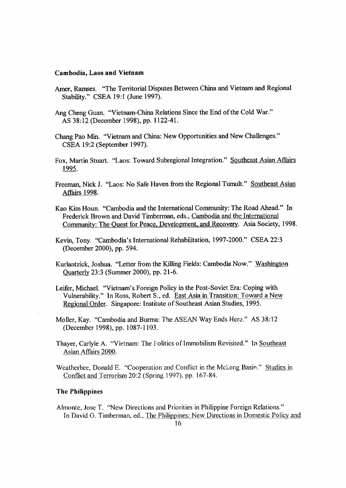#### Cambodia, Laos and Vietnam

- Amer, Ramses. "The Territorial Disputes Between China and Vietnam and Regional Stability." CSEA 19:1 (June 1997).
- Ang Cheng Guan. "Vietnam-China Relations Since the End of the Cold War." AS 38:12 (December 1998), pp. 1122-41.
- Chang Pao Min. "Vietnam and China: New Opportunities and New Challenges." CSEA 19:2 (September 1997).
- Fox, Martin Stuart. "Laos: Toward Subregional Integration." Southeast Asian Affairs 1995.
- Freeman, Nick J. "Laos: No Safe Haven from the Regional Tumult." Southeast Asian Affairs 1998.
- Kao Kim Houn. "Cambodia and the International Community: The Road Ahead." In Frederick Brown and David Timberman, eds., Cambodia and the International Community: The Quest for Peace, Development, and Recovery. Asia Society, 1998.
- Kevin, Tony. "Cambodia'<sup>s</sup> International Rehabilitation, <sup>1997</sup>-2000." CSEA <sup>22</sup>:<sup>3</sup> (December 2000), pp. 594.
- Kurlantzick, Joshua. "Letter from the Killing Fields: Cambodia Now." Washington Quarterly 23:3 (Summer 2000), pp. 21-6.
- Leifer, Michael. "Vietnam'<sup>s</sup> Foreign Policy in the Post-Soviet Era: Coping with Vulnerability." In Ross, Robert S., ed. East Asia in Transition: Toward <sup>a</sup> New Regional Order. Singapore: Institute of Southeast Asian Studies, 1995.
- MoHer, Kay. "Cambodia and Burma: The ASEAN Way Ends Here." AS 38:12 (December 1998), pp. 1087-1103.
- Thayer, Carlyle A. "Vietnam: The Politics of Immobilism Revisited." In Southeast Asian Affairs 2000.
- Weatherbee, Donald E. "Cooperation and Conflict in the Mekong Basin." Studies in Conflict and Terrorism 20:2 (Spring 1997), pp. 167-84.

#### The Philippines

Almonte, Jose T. "New Directions and Priorities in Philippine Foreign Relations." In David G. Timberman, ed., The Philippines: New Directions in Domestic Policy and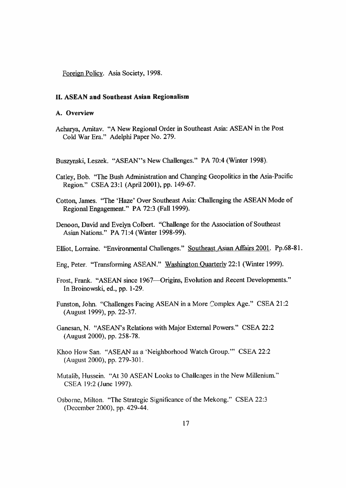Foreign Policy. Asia Society, 1998.

#### **II. ASEAN and Southeast Asian Regionalism**

#### **A. Overview**

Acharya, Amitav. "<sup>A</sup> New Regional Order in Southeast Asia: ASEAN in the Post Cold War Era." Adelphi Paper No. 279.

Buszynski, Leszek. "ASEAN"<sup>s</sup> New Challenges." PA <sup>70</sup>:4 (Winter 1998).

- Catley, Bob. "The Bush Administration and Changing Geopolitics in the Asia-Pacific Region." CSEA 23:1 (April 2001), pp. 149-67.
- Cotton, James. "The 'Haze' Over Southeast Asia: Challenging the ASEAN Mode of Regional Engagement." PA 72:3 (Fall 1999).
- Denoon, David and Evelyn Colbert. "Challenge for the Association of Southeast Asian Nations." PA 71:4 (Winter 1998-99).
- Elliot, Lorraine. "Environmental Challenges." Southeast Asian Affairs 2001. Pp.68-81.
- Eng, Peter. "Transforming ASEAN." Washington Quarterly <sup>22</sup>:<sup>1</sup> (Winter 1999).
- Frost, Frank. "ASEAN since 1967—Origins, Evolution and Recent Developments." In Broinowski, ed., pp. 1-29.
- Funston, John. "Challenges Facing ASEAN in <sup>a</sup> More Complex Age." CSEA 21:2 (August 1999), pp. 22-37.
- Ganesan, <sup>N</sup>. "ASEAN'<sup>s</sup> Relations with Major External Powers." CSEA 22:2 (August 2000), pp. 258-78.
- Khoo How San. "ASEAN as <sup>a</sup> 'Neighborhood Watch Group.'" CSEA 22:2 (August 2000), pp. 279-301.
- Mutatib, Hussein. "At 30 ASEAN Looks to Challenges in the New Millenium." CSEA 19:2 (June 1997).
- Osborne, Milton. "The Strategic Significance of the Mekong." CSEA 22:3 (December 2000), pp. 429-44.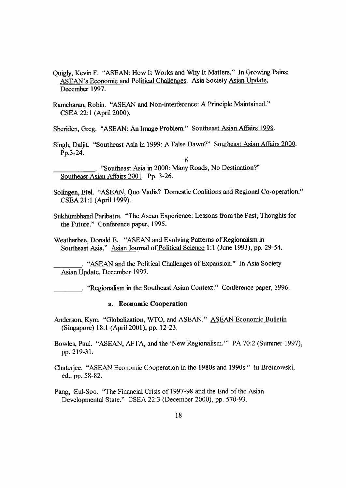- Quigly, Kevin <sup>F</sup>. "ASEAN: How It Works and Why It Matters." In Growing Pains: ASEAN's Economic and Political Challenges. Asia Society Asian Update. December 1997.
- Ramcharan, Robin. "ASEAN and Non-interference: <sup>A</sup> Principle Maintained." CSEA 22:1 (April 2000).

Sheriden, Greg. "ASEAN: An Image Problem." Southeast Asian Affairs 1998.

Singh, Daljit. "Southeast Asia in 1999: <sup>A</sup> False Dawn?" Southeast Asian Affairs 2000. Pp.3-24.

6

- . ''Southeast Asia in 2000: Many Roads, No Destination?" Southeast Asian Affairs 2001. Pp. 3-26.
- Solingen, Etel. "ASEAN, Quo Vadis? Domestic Coalitions and Regional Co-operation." CSEA 21:1 (April 1999).
- Sukhumbhand Paribatra. "The Asean Experience: Lessons from the Past, Thoughts for the Future." Conference paper, 1995.

Weatherbee, Donald E. "ASEAN and Evolving Patterns of Regionalism in Southeast Asia." Asian Journal of Political Science 1:1 (June 1993), pp. 29-54.

. "ASEAN and the Political Challenges of Expansion." In Asia Society Asian Update. December 1997.

. "Regionalism in the Southeast Asian Context." Conference paper, 1996.

#### <sup>a</sup>. Economic Cooperation

Anderson, Kym. "Globalization, WTO, and ASEAN." ASEAN Economic Bulletin (Singapore) 18:1 (April 2001), pp. 12-23.

Bowles, Paul. "ASEAN, AFTA, and the 'New Regionalism.'" PA 70:2 (Summer 1997), pp. 219-31.

Chaterjee. "ASEAN Economic Cooperation in the 1980s and 1990s." In Broinowski, ed., pp. 58-82.

Pang, Eul-Soo. "The Financial Crisis of 1997-98 and the End of the Asian Developmental State." CSEA 22:3 (December 2000), pp. 570-93.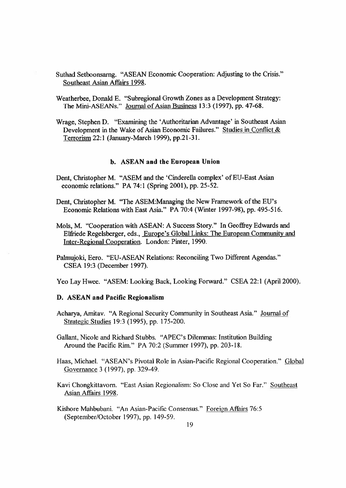- Suthad Setboonsamg. "ASEAN Economic Cooperation: Adjusting to the Crisis." Southeast Asian Affairs 1998.
- Weatherbee, Donald E. "Subregional Growth Zones as <sup>a</sup> Development Strategy: The Mini-ASEANs." Journal of Asian Business 13:3 (1997), pp. 47-68.
- Wrage, Stephen D. "Examining the 'Authoritarian Advantage' in Southeast Asian Development in the Wake of Asian Economic Failures." Studies in Conflict & Terrorism 22:1 (January-March 1999), pp.21-31.

# b. ASEAN and the European Union

- Dent, Christopher M. "ASEM and the 'Cinderella complex' of EU-East Asian economic relations." PA 74:1 (Spring 2001), pp. 25-52.
- Dent, Christopher M. "The ASEM:Managing the New Framework of the EU's Economic Relations with East Asia." PA 70:4 (Winter 1997-98), pp. 495-516.
- Mols, M. "Cooperation with ASEAN: A Success Story." In Geoffrey Edwards and Elfriede Regelsberger, eds., Europe's Global Links: The European Community and Inter-Reeional Cooperation. London: Pinter, 1990.
- Palmujoki, Eero. "EU-ASEAN Relations: Reconciling Two Different Agendas." CSEA 19:3 (December 1997).

Yeo Lay Hwee. "ASEM: Looking Back, Looking Forward." CSEA 22:1 (April 2000).

#### D. ASEAN and Pacific Regionalism

Acharya, Amitav. "A Regional Security Community in Southeast Asia." Journal of Strategic Studies 19:3 (1995), pp. 175-200.

Gallant, Nicole and Richard Stubbs. "APEC's Dilemmas: Institution Building Around the Pacific Rim." PA 70:2 (Summer 1997), pp. 203-18.

Haas, Michael. "ASEAN's Pivotal Role in Asian-Pacific Regional Cooperation." Global Governance 3 (1997), pp. 329-49.

Kavi Chongkittavorn. "East Asian Regionalism: So Close and Yet So Far." Southeast Asian Affairs 1998.

Kishore Mahbubani. "An Asian-Pacific Consensus." Foreign Affairs 76:5 (September/October 1997), pp. 149-59.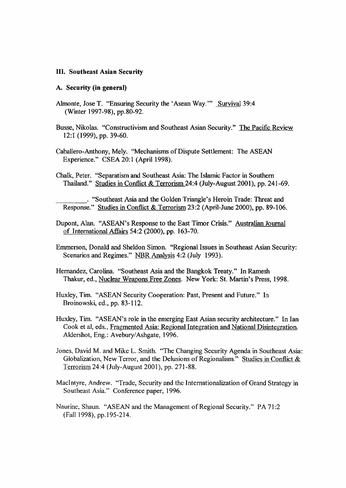#### **III. Southeast Asian Security**

#### **A. Security (in general)**

- Almonte, Jose T. "Ensuring Security the 'Asean Way.'" Survival 39:4 (Winter 1997-98), pp.80-92.
- Busse, Nikolas. "Constructivism and Southeast Asian Security." The Pacific Review 12:1 (1999), pp. 39-60.
- Caballero-Anthony, Mely. "Mechanisms of Dispute Settlement: The ASEAN Experience." CSEA 20:1 (April 1998).
- Chalk, Peter. "Separatism and Southeast Asia: The Islamic Factor in Southern Thailand." Studies in Conflict & Terrorism 24:4 (July-August 2001), pp. 241-69.

. "Southeast Asia and the Golden Triangle's Heroin Trade:Threat and Response." Studies in Conflict & Terrorism 23:2 (April-June 2000), pp. 89-106.

- Dupont, Alan. "ASEAN's Response to the East Timor Crisis." Australian Journal of International Affairs 54:2 (2000), pp. 163-70.
- Emmerson, Donald and Sheldon Simon. "Regional Issues in Southeast Asian Security: Scenarios and Regimes." NBR Analysis 4:2 (July 1993).
- Hernandez, Carolina. "Southeast Asia and the Bangkok Treaty." In Ramesh Thakur, ed., Nuclear Weapons Free Zones. New York:St. Martin's Press, 1998.

Huxley, Tim. "ASEAN Security Cooperation: Past, Present and Future." In Broinowski, ed., pp. 83-112.

- Huxley, Tim. "ASEAN's role in the emerging East Asian security architecture." In Ian Cook et al, eds., Fragmented Asia: Regional Integration and National Disintegration. Aldershot, Eng.: Avebury/Ashgate, 1996.
- Jones, David M. and Mike L. Smith. "The Changing Security Agenda in Southeast Asia: Globalization, New Terror, and the Delusions of Regionalism." Studies in Conflict & Terrorism 24:4 (July-August 2001), pp. 271-88.
- MacIntyre, Andrew. "Trade, Security and the Internationalization of Grand Strategy in Southeast Asia." Conference paper, 1996.
- Naurine, Shaun. "ASEAN and the Management of Regional Security." PA 71:2 (Fall 1998), pp.195-214.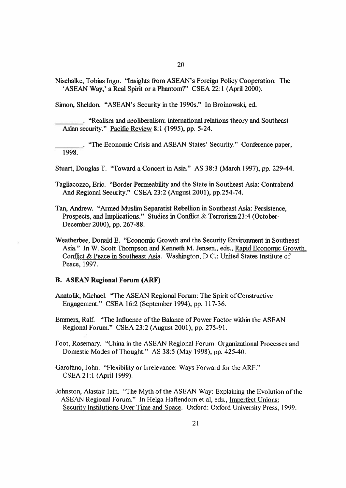Nischalke, Tobias Ingo. "Insights from ASEAN's Foreign Policy Cooperation: The 'ASEAN Way,' <sup>a</sup> Real Spirit or <sup>a</sup> Phantom?" CSEA 22:1 (April 2000).

Simon, Sheldon. "ASEAN's Security in the 1990s." In Broinowski, ed.

. "Realism and neoliberalism: international relations theory and Southeast Asian security." Pacific Review 8:1 (1995), pp. 5-24.

. "The Economic Crisis and ASEAN States' Security." Conference paper, 1998.

Stuart, Douglas T. "Toward <sup>a</sup> Concert in Asia." AS 38:3 (March 1997), pp. 229-44.

Tagliacozzo, Eric. "Border Permeability and the State in Southeast Asia: Contraband And Regional Security." CSEA 23:2 (August 2001), pp.254-74.

- Tan, Andrew. "Armed Muslim Separatist Rebellion in Southeast Asia: Persistence, Prospects, and Implications." Studies in Conflict & Terrorism 23:4 (October-December 2000), pp. 267-88.
- Weatherbee, Donald E. "Economic Growth and the Security Environment in Southeast Asia." In W. Scott Thompson and Kenneth M. Jensen., eds., Rapid Economic Growth. Conflict & Peace in Southeast Asia. Washington, D.C.: United States Institute of Peace, 1997.

#### **B. ASEAN Regional Forum (ARF)**

Anatolik, Michael. "The ASEAN Regional Forum: The Spirit of Constructive Engagement." CSEA 16:2 (September 1994), pp. 117-36.

Emmers, Ralf. "The Influence of the Balance of Power Factor within the ASEAN Regional Forum." CSEA 23:2 (August 2001), pp. 275-91.

Foot, Rosemary. "China in the ASEAN Regional Forum: Organizational Processes and Domestic Modes of Thought." AS 38:5 (May 1998), pp. 425-40.

Garofano, John. "Flexibility or Irrelevance: Ways Forward for the ARF." CSEA 21:1 (April 1999).

Johnston, Alastair Iain. "The Myth of the ASEAN Way: Explaining the Evolution of the ASEAN Regional Forum." In Helga Haftendorn et al, eds., Imperfect Unions: Security Institutions Over Time and Space. Oxford: Oxford University Press, 1999.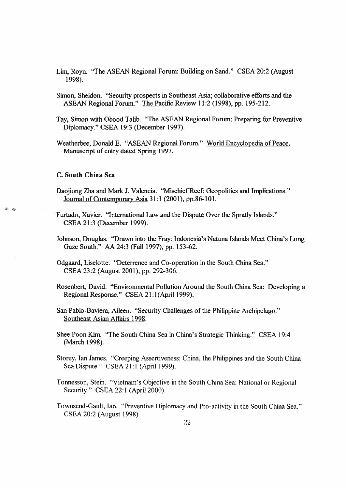- Lim, Royn. "The ASEAN Regional Forum: Building on Sand." CSEA 20:2 (August 1998).
- Simon, Sheldon. "Security prospects in Southeast Asia; collaborative efforts and the ASEAN Regional Forum." The Pacific Review 11:2 (1998), pp. 195-212.
- Tay, Simon with Obood Talib. "The ASEAN Regional Forum: Preparing for Preventive Diplomacy." CSEA 19:3 (December 1997).
- Weatherbee, Donald E. "ASEAN Regional Forum." World Encyclopedia of Peace. Manuscript of entry dated Spring 1997.

# **C. South China Sea**

 $\theta$ 

- Daojiong Zha and Mark J. Valencia. "Mischief Reef: Geopolitics and Implications." Journal of Contemporary Asia 31:1 (2001), pp.86-101.
- Furtado, Xavier. "International Law and the Dispute Over the Spratly Islands." CSEA 21:3 (December 1999).
- Johnson, Douglas. "Drawn into the Fray: Indonesia's Natuna Islands Meet China's Long Gaze South." AA 24:3 (Fall 1997), pp. 153-62.

Odgaard, Liselotte. "Deterrence and Co-operation in the South China Sea." CSEA 23:2 (August 2001), pp. 292-306.

Rosenbert, David. "Environmental Pollution Around the South China Sea: Developing <sup>a</sup> Regional Response." CSEA 21:1(April 1999).

San Pablo-Baviera, Aileen. "Security Challenges of the Philippine Archipelago." Southeast Asian Affairs 1998.

Shee Poon Kim. "The South China Sea in China's Strategic Thinking." CSEA 19:4 (March 1998).

Storey, Ian James. "Creeping Assertiveness: China, the Philippines and the South China Sea Dispute." CSEA 21:1 (April 1999).

Tonnesson, Stein. "Vietnam's Objective in the South China Sea: National or Regional Security." CSEA 22:1 (April 2000).

Townsend-Gault, Ian. "Preventive Diplomacy and Pro-activity in the South China Sea." CSEA 20:2 (August 1998)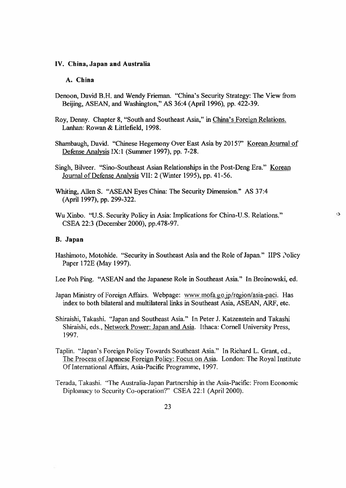#### **IV. China, Japan and Australia**

# **A. China**

- Denoon, David B.H. and Wendy Frieman. "China's Security Strategy: The View from Beijing, ASEAN, and Washington," AS 36:4 (April 1996), pp. 422-39.
- Roy, Denny. Chapter 8, "South and Southeast Asia," in China's Foreign Relations. Lanhan: Rowan & Littlefield, 1998.
- Shambaugh, David. "Chinese Hegemony Over East Asia by 2015?" Korean Journal of Defense Analysis IX:1 (Summer 1997), pp. 7-28.
- Singh, Bilveer. "Sino-Southeast Asian Relationships in the Post-Deng Era." Korean Journal of Defense Analysis VII: 2 (Winter 1995), pp. 41-56.

Whiting, Allen S. "ASEAN Eyes China: The Security Dimension." AS 37:4 (April 1997), pp. 299-322.

Wu Xinbo. "U.S. Security Policy in Asia: Implications for China-U.S. Relations." CSEA 22:3 (December 2000), pp.478-97.

# **B. Japan**

Hashimoto, Motohide. "Security in Southeast Asia and the Role of Japan." IIPS Policy Paper 172E (May 1997).

 $\Omega$ 

Lee Poh Ping. "ASEAN and the Japanese Role in Southeast Asia." In Broinowski, ed.

- Japan Ministry of Foreign Affairs. Webpage: www.mofa.go jp/region/asia-paci. Has index to both bilateral and multilateral links in Southeast Asia, ASEAN, ARF, etc.
- Shiraishi, Takashi. "Japan and Southeast Asia." In Peter J. Katzenstein and Takashi Shiraishi, eds., Network Power: Japan and Asia. Ithaca: Cornell University Press, 1997.
- Taplin. "Japan's Foreign Policy Towards Southeast Asia." In Richard L. Grant, ed., The Process of Japanese Foreign Policy: Focus on Asia. London: The Royal Institute Of International Affairs, Asia-Pacific Programme, 1997.
- Terada, Takashi. "The Australia-Japan Partnership in the Asia-Pacific: From Economic Diplomacy to Security Co-operation?" CSEA 22:1 (April 2000).